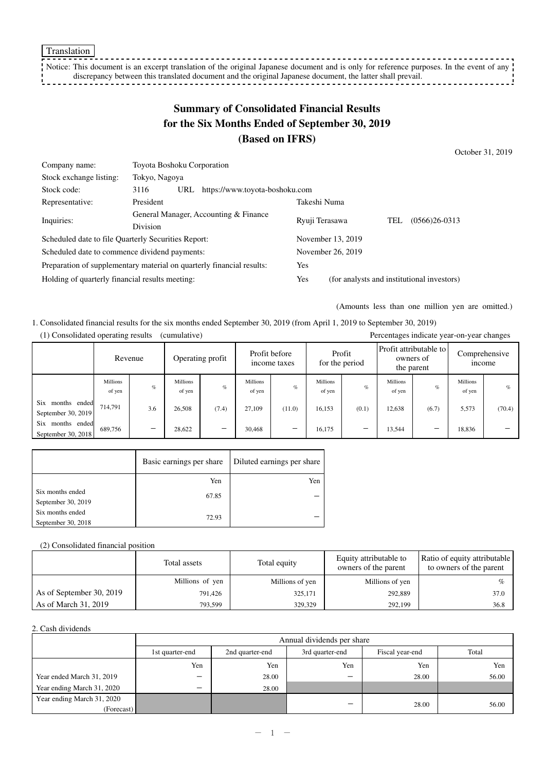Translation

-----------Notice: This document is an excerpt translation of the original Japanese document and is only for reference purposes. In the event of any  $\frac{1}{1}$ discrepancy between this translated document and the original Japanese document, the latter shall prevail. <u> - - - - - - - - - - - - - !</u>

# **Summary of Consolidated Financial Results for the Six Months Ended of September 30, 2019 (Based on IFRS)**

October 31, 2019

| Company name:                                                         | <b>Toyota Boshoku Corporation</b>                        |     |                                            |              |                |     |                 |
|-----------------------------------------------------------------------|----------------------------------------------------------|-----|--------------------------------------------|--------------|----------------|-----|-----------------|
| Stock exchange listing:                                               | Tokyo, Nagoya                                            |     |                                            |              |                |     |                 |
| Stock code:                                                           | 3116                                                     | URL | https://www.toyota-boshoku.com             |              |                |     |                 |
| Representative:                                                       | President                                                |     |                                            | Takeshi Numa |                |     |                 |
|                                                                       | General Manager, Accounting & Finance<br><b>Division</b> |     |                                            |              |                | TEL | $(0566)26-0313$ |
| Inquiries:                                                            |                                                          |     |                                            |              | Ryuji Terasawa |     |                 |
| Scheduled date to file Quarterly Securities Report:                   |                                                          |     | November 13, 2019                          |              |                |     |                 |
| Scheduled date to commence dividend payments:                         |                                                          |     | November 26, 2019                          |              |                |     |                 |
| Preparation of supplementary material on quarterly financial results: |                                                          | Yes |                                            |              |                |     |                 |
| Holding of quarterly financial results meeting:                       |                                                          | Yes | (for analysts and institutional investors) |              |                |     |                 |

(Amounts less than one million yen are omitted.)

1. Consolidated financial results for the six months ended September 30, 2019 (from April 1, 2019 to September 30, 2019) (1) Consolidated operating results (cumulative) Percentages indicate year-on-year changes

| 1) Consondated operating results<br>(cumulative)<br>Percentages indicate year-on-year changes |                           |                                 |                           |                  |                           |                               |                           |       |                                                     |       |                           |                                |
|-----------------------------------------------------------------------------------------------|---------------------------|---------------------------------|---------------------------|------------------|---------------------------|-------------------------------|---------------------------|-------|-----------------------------------------------------|-------|---------------------------|--------------------------------|
|                                                                                               |                           | Revenue                         |                           | Operating profit |                           | Profit before<br>income taxes | Profit<br>for the period  |       | Profit attributable to l<br>owners of<br>the parent |       |                           | Comprehensive<br><i>n</i> come |
|                                                                                               | <b>Millions</b><br>of yen | $\%$                            | <b>Millions</b><br>of yen | $\%$             | <b>Millions</b><br>of yen | $\%$                          | <b>Millions</b><br>of yen | $\%$  | <b>Millions</b><br>of yen                           | $\%$  | <b>Millions</b><br>of yen | $\%$                           |
| Six<br>months ended<br>September 30, 2019                                                     | 714,791                   | 3.6                             | 26,508                    | (7.4)            | 27.109                    | (11.0)                        | 16,153                    | (0.1) | 12,638                                              | (6.7) | 5,573                     | (70.4)                         |
| Six<br>months ended<br>September 30, 2018                                                     | 689,756                   | $\hspace{0.1mm}-\hspace{0.1mm}$ | 28.622                    | $\qquad \qquad$  | 30.468                    | $\qquad \qquad$               | 16,175                    |       | 13.544                                              | —     | 18,836                    |                                |

|                                        | Basic earnings per share | Diluted earnings per share |
|----------------------------------------|--------------------------|----------------------------|
|                                        | Yen                      | Yen                        |
| Six months ended<br>September 30, 2019 | 67.85                    |                            |
| Six months ended<br>September 30, 2018 | 72.93                    |                            |

#### (2) Consolidated financial position

|                          | Total assets    | Total equity    | Equity attributable to<br>owners of the parent | Ratio of equity attributable<br>to owners of the parent |
|--------------------------|-----------------|-----------------|------------------------------------------------|---------------------------------------------------------|
|                          | Millions of yen | Millions of yen | Millions of yen                                |                                                         |
| As of September 30, 2019 | 791,426         | 325,171         | 292,889                                        | 37.0                                                    |
| As of March 31, 2019     | 793,599         | 329,329         | 292,199                                        | 36.8                                                    |

#### 2. Cash dividends

|                            | Annual dividends per share |                 |                 |                 |       |  |  |  |
|----------------------------|----------------------------|-----------------|-----------------|-----------------|-------|--|--|--|
|                            | 1st quarter-end            | 2nd quarter-end | 3rd quarter-end | Fiscal year-end | Total |  |  |  |
|                            | Yen                        | Yen             | Yen             | Yen             | Yen   |  |  |  |
| Year ended March 31, 2019  | $\overline{\phantom{0}}$   | 28.00           | _               | 28.00           | 56.00 |  |  |  |
| Year ending March 31, 2020 | -                          | 28.00           |                 |                 |       |  |  |  |
| Year ending March 31, 2020 |                            |                 | _               | 28.00           | 56.00 |  |  |  |
| (Forecast)                 |                            |                 |                 |                 |       |  |  |  |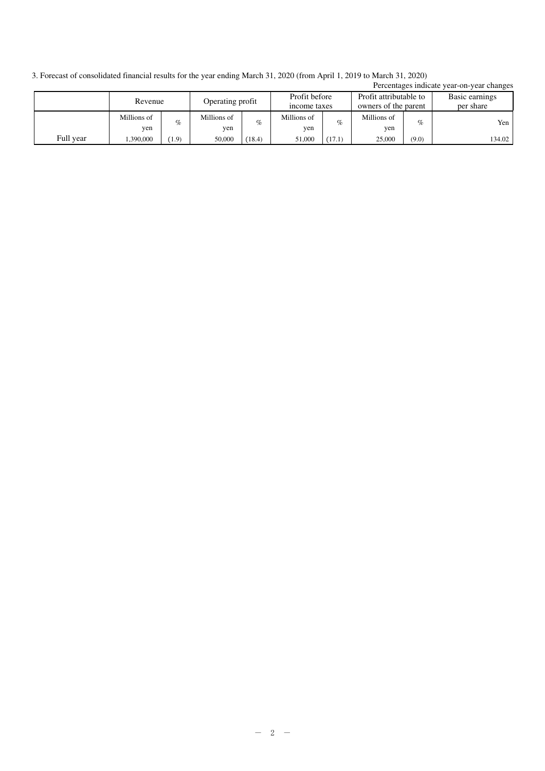3. Forecast of consolidated financial results for the year ending March 31, 2020 (from April 1, 2019 to March 31, 2020)

|           |                             |       |                               |        |                                                |        |                             |       | Percentages indicate year-on-year changes |
|-----------|-----------------------------|-------|-------------------------------|--------|------------------------------------------------|--------|-----------------------------|-------|-------------------------------------------|
|           | Operating profit<br>Revenue |       | Profit before<br>income taxes |        | Profit attributable to<br>owners of the parent |        | Basic earnings<br>per share |       |                                           |
|           | Millions of<br>yen          | $\%$  | Millions of<br>yen            | $\%$   | Millions of<br>yen                             | $\%$   | Millions of<br>yen          | $\%$  | Yen                                       |
| Full year | 1.390.000                   | (1.9) | 50,000                        | (18.4) | 51,000                                         | (17.1) | 25,000                      | (9.0) | 134.02                                    |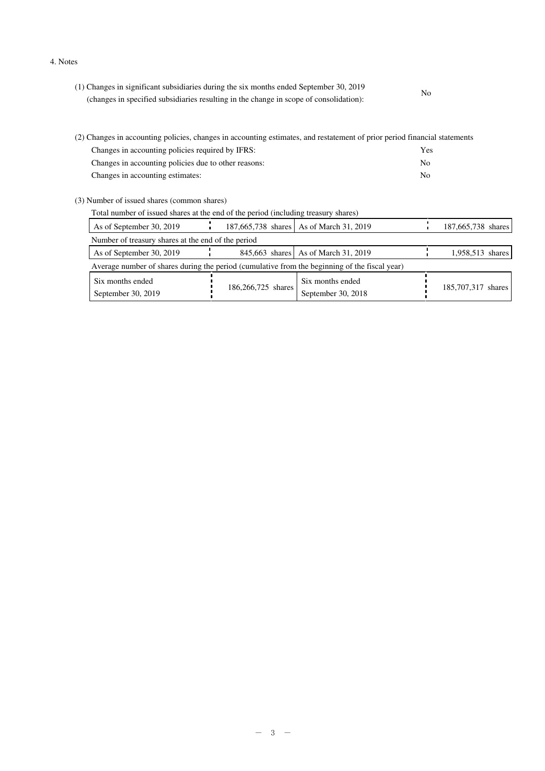4. Notes

| (1) Changes in significant subsidiaries during the six months ended September 30, 2019 | No |
|----------------------------------------------------------------------------------------|----|
| (changes in specified subsidiaries resulting in the change in scope of consolidation): |    |

| (2) Changes in accounting policies, changes in accounting estimates, and restatement of prior period financial statements |     |  |  |  |  |
|---------------------------------------------------------------------------------------------------------------------------|-----|--|--|--|--|
| Changes in accounting policies required by IFRS:                                                                          | Yes |  |  |  |  |
| Changes in accounting policies due to other reasons:                                                                      | No. |  |  |  |  |
| Changes in accounting estimates:                                                                                          | No. |  |  |  |  |

(3) Number of issued shares (common shares)

| Total number of issued shares at the end of the period (including treasury shares) |                                                                                               |                    |                                         |  |                    |  |
|------------------------------------------------------------------------------------|-----------------------------------------------------------------------------------------------|--------------------|-----------------------------------------|--|--------------------|--|
| As of September 30, 2019                                                           |                                                                                               |                    | 187,665,738 shares As of March 31, 2019 |  | 187,665,738 shares |  |
| Number of treasury shares at the end of the period                                 |                                                                                               |                    |                                         |  |                    |  |
| As of September 30, 2019                                                           |                                                                                               |                    | 845,663 shares As of March 31, 2019     |  | 1,958,513 shares   |  |
|                                                                                    | Average number of shares during the period (cumulative from the beginning of the fiscal year) |                    |                                         |  |                    |  |
| Six months ended<br>September 30, 2019                                             |                                                                                               | 186,266,725 shares | Six months ended<br>September 30, 2018  |  | 185,707,317 shares |  |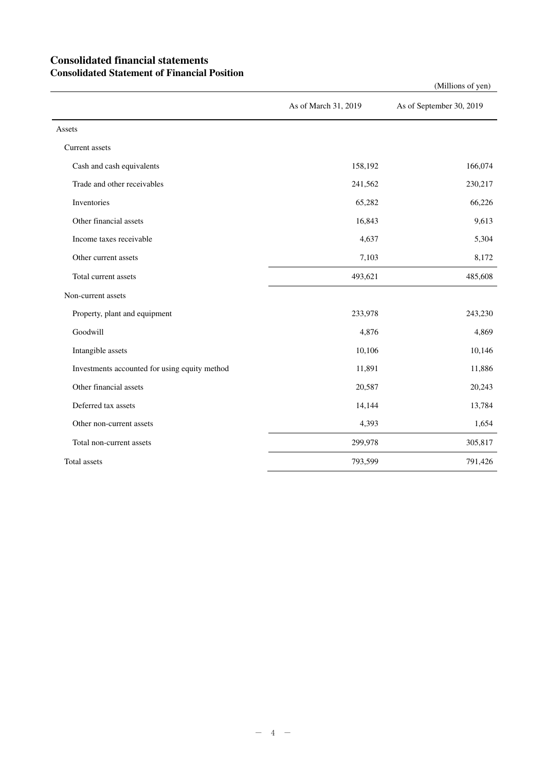## **Consolidated financial statements Consolidated Statement of Financial Position**

As of March 31, 2019 As of September 30, 2019 Assets Current assets Cash and cash equivalents 158,192 166,074 Trade and other receivables 241,562 230,217 Inventories  $65,282$   $66,226$ Other financial assets 9,613 Income taxes receivable 5,304 Other current assets 8,172 Total current assets 493,621 485,608 Non-current assets Property, plant and equipment 233,978 243,230 Goodwill **4,876** 4,869 Intangible assets 10,146 Investments accounted for using equity method 11,891 11,891 11,886 Other financial assets 20,587 20,243 Deferred tax assets 14,144 13,784 Other non-current assets 1,654 Total non-current assets 299,978 305,817 Total assets 793,599 791,426

(Millions of yen)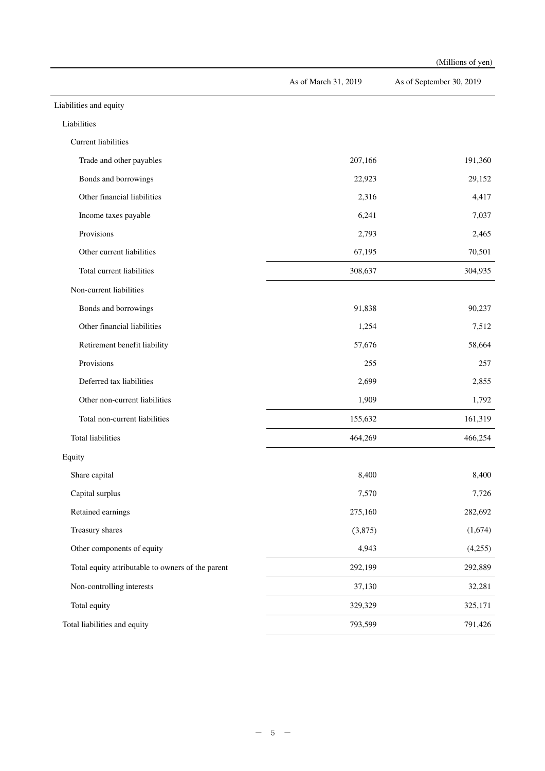|                                                   |                      | (Millions of yen)        |
|---------------------------------------------------|----------------------|--------------------------|
|                                                   | As of March 31, 2019 | As of September 30, 2019 |
| Liabilities and equity                            |                      |                          |
| Liabilities                                       |                      |                          |
| <b>Current liabilities</b>                        |                      |                          |
| Trade and other payables                          | 207,166              | 191,360                  |
| Bonds and borrowings                              | 22,923               | 29,152                   |
| Other financial liabilities                       | 2,316                | 4,417                    |
| Income taxes payable                              | 6,241                | 7,037                    |
| Provisions                                        | 2,793                | 2,465                    |
| Other current liabilities                         | 67,195               | 70,501                   |
| Total current liabilities                         | 308,637              | 304,935                  |
| Non-current liabilities                           |                      |                          |
| Bonds and borrowings                              | 91,838               | 90,237                   |
| Other financial liabilities                       | 1,254                | 7,512                    |
| Retirement benefit liability                      | 57,676               | 58,664                   |
| Provisions                                        | 255                  | 257                      |
| Deferred tax liabilities                          | 2,699                | 2,855                    |
| Other non-current liabilities                     | 1,909                | 1,792                    |
| Total non-current liabilities                     | 155,632              | 161,319                  |
| Total liabilities                                 | 464,269              | 466,254                  |
| Equity                                            |                      |                          |
| Share capital                                     | 8,400                | 8,400                    |
| Capital surplus                                   | 7,570                | 7,726                    |
| Retained earnings                                 | 275,160              | 282,692                  |
| Treasury shares                                   | (3,875)              | (1,674)                  |
| Other components of equity                        | 4,943                | (4,255)                  |
| Total equity attributable to owners of the parent | 292,199              | 292,889                  |
| Non-controlling interests                         | 37,130               | 32,281                   |
| Total equity                                      | 329,329              | 325,171                  |
| Total liabilities and equity                      | 793,599              | 791,426                  |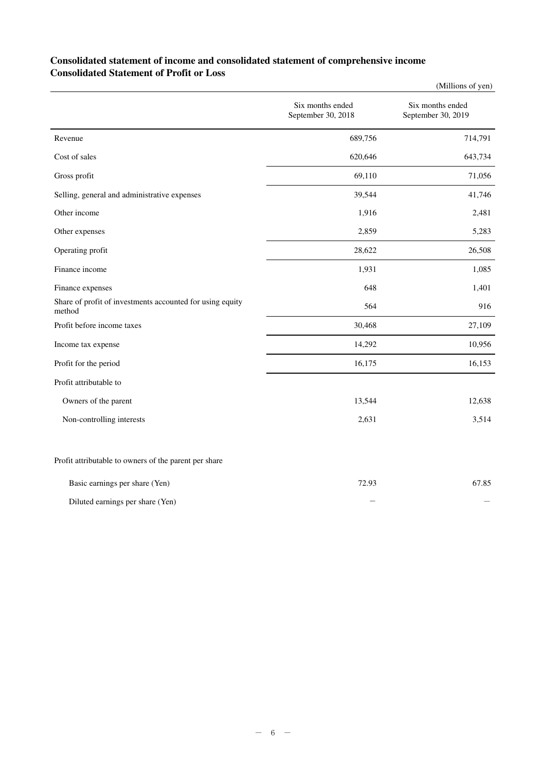## **Consolidated statement of income and consolidated statement of comprehensive income Consolidated Statement of Profit or Loss**

|                                                                     |                                        | (Millions of yen)                      |
|---------------------------------------------------------------------|----------------------------------------|----------------------------------------|
|                                                                     | Six months ended<br>September 30, 2018 | Six months ended<br>September 30, 2019 |
| Revenue                                                             | 689,756                                | 714,791                                |
| Cost of sales                                                       | 620,646                                | 643,734                                |
| Gross profit                                                        | 69,110                                 | 71,056                                 |
| Selling, general and administrative expenses                        | 39,544                                 | 41,746                                 |
| Other income                                                        | 1,916                                  | 2,481                                  |
| Other expenses                                                      | 2,859                                  | 5,283                                  |
| Operating profit                                                    | 28,622                                 | 26,508                                 |
| Finance income                                                      | 1,931                                  | 1,085                                  |
| Finance expenses                                                    | 648                                    | 1,401                                  |
| Share of profit of investments accounted for using equity<br>method | 564                                    | 916                                    |
| Profit before income taxes                                          | 30,468                                 | 27,109                                 |
| Income tax expense                                                  | 14,292                                 | 10,956                                 |
| Profit for the period                                               | 16,175                                 | 16,153                                 |
| Profit attributable to                                              |                                        |                                        |
| Owners of the parent                                                | 13,544                                 | 12,638                                 |
| Non-controlling interests                                           | 2,631                                  | 3,514                                  |
| Profit attributable to owners of the parent per share               |                                        |                                        |
| Rasic earnings ner share (Yen)                                      | 72.93                                  | 67.85                                  |

| Dasic earnings per share (Ten)   | 12.93 | 07.OJ |
|----------------------------------|-------|-------|
| Diluted earnings per share (Yen) |       |       |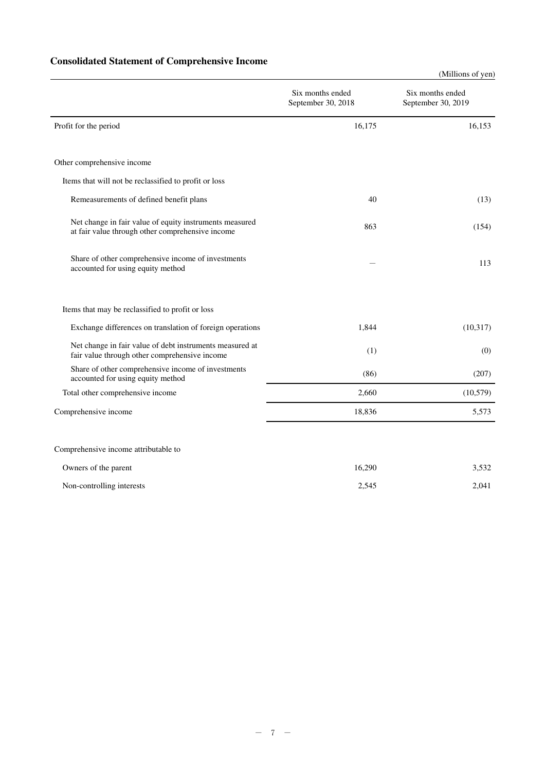# **Consolidated Statement of Comprehensive Income**

|                                                                                                             |                                        | (Millions of yen)                      |
|-------------------------------------------------------------------------------------------------------------|----------------------------------------|----------------------------------------|
|                                                                                                             | Six months ended<br>September 30, 2018 | Six months ended<br>September 30, 2019 |
| Profit for the period                                                                                       | 16,175                                 | 16,153                                 |
| Other comprehensive income                                                                                  |                                        |                                        |
| Items that will not be reclassified to profit or loss                                                       |                                        |                                        |
| Remeasurements of defined benefit plans                                                                     | 40                                     | (13)                                   |
| Net change in fair value of equity instruments measured<br>at fair value through other comprehensive income | 863                                    | (154)                                  |
| Share of other comprehensive income of investments<br>accounted for using equity method                     |                                        | 113                                    |
| Items that may be reclassified to profit or loss                                                            |                                        |                                        |
| Exchange differences on translation of foreign operations                                                   | 1,844                                  | (10, 317)                              |
| Net change in fair value of debt instruments measured at<br>fair value through other comprehensive income   | (1)                                    | (0)                                    |
| Share of other comprehensive income of investments<br>accounted for using equity method                     | (86)                                   | (207)                                  |
| Total other comprehensive income                                                                            | 2,660                                  | (10, 579)                              |
| Comprehensive income                                                                                        | 18,836                                 | 5,573                                  |
| Comprehensive income attributable to                                                                        |                                        |                                        |
| Owners of the parent                                                                                        | 16,290                                 | 3,532                                  |

| Non-controlling interests | 2.545 | 2.041 |
|---------------------------|-------|-------|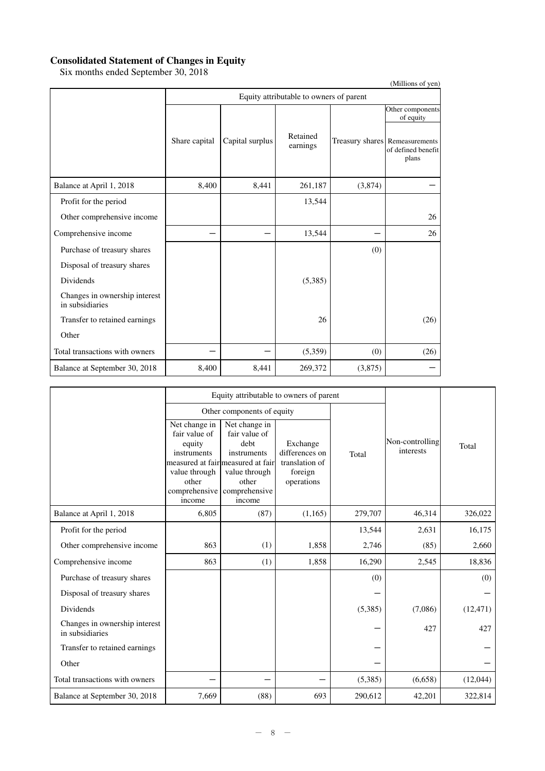### **Consolidated Statement of Changes in Equity**

Six months ended September 30, 2018

|                                                  |                                         |                 |                      |         | (Millions of yen)                                             |  |  |
|--------------------------------------------------|-----------------------------------------|-----------------|----------------------|---------|---------------------------------------------------------------|--|--|
|                                                  | Equity attributable to owners of parent |                 |                      |         |                                                               |  |  |
|                                                  |                                         |                 |                      |         | Other components<br>of equity                                 |  |  |
|                                                  | Share capital                           | Capital surplus | Retained<br>earnings |         | Treasury shares Remeasurements<br>of defined benefit<br>plans |  |  |
| Balance at April 1, 2018                         | 8,400                                   | 8,441           | 261,187              | (3,874) |                                                               |  |  |
| Profit for the period                            |                                         |                 | 13,544               |         |                                                               |  |  |
| Other comprehensive income                       |                                         |                 |                      |         | 26                                                            |  |  |
| Comprehensive income                             |                                         |                 | 13,544               |         | 26                                                            |  |  |
| Purchase of treasury shares                      |                                         |                 |                      | (0)     |                                                               |  |  |
| Disposal of treasury shares                      |                                         |                 |                      |         |                                                               |  |  |
| Dividends                                        |                                         |                 | (5,385)              |         |                                                               |  |  |
| Changes in ownership interest<br>in subsidiaries |                                         |                 |                      |         |                                                               |  |  |
| Transfer to retained earnings                    |                                         |                 | 26                   |         | (26)                                                          |  |  |
| Other                                            |                                         |                 |                      |         |                                                               |  |  |
| Total transactions with owners                   |                                         |                 | (5,359)              | (0)     | (26)                                                          |  |  |
| Balance at September 30, 2018                    | 8,400                                   | 8,441           | 269,372              | (3,875) |                                                               |  |  |

|                                                  |                                                                                                              | Equity attributable to owners of parent                                                                                                         |                                                                       |         |                              |           |
|--------------------------------------------------|--------------------------------------------------------------------------------------------------------------|-------------------------------------------------------------------------------------------------------------------------------------------------|-----------------------------------------------------------------------|---------|------------------------------|-----------|
|                                                  |                                                                                                              | Other components of equity                                                                                                                      |                                                                       |         |                              |           |
|                                                  | Net change in<br>fair value of<br>equity<br>instruments<br>value through<br>other<br>comprehensive<br>income | Net change in<br>fair value of<br>debt<br>instruments<br>measured at fair measured at fair<br>value through<br>other<br>comprehensive<br>income | Exchange<br>differences on<br>translation of<br>foreign<br>operations | Total   | Non-controlling<br>interests | Total     |
| Balance at April 1, 2018                         | 6,805                                                                                                        | (87)                                                                                                                                            | (1,165)                                                               | 279,707 | 46,314                       | 326,022   |
| Profit for the period                            |                                                                                                              |                                                                                                                                                 |                                                                       | 13,544  | 2,631                        | 16,175    |
| Other comprehensive income                       | 863                                                                                                          | (1)                                                                                                                                             | 1,858                                                                 | 2,746   | (85)                         | 2,660     |
| Comprehensive income                             | 863                                                                                                          | (1)                                                                                                                                             | 1,858                                                                 | 16,290  | 2,545                        | 18,836    |
| Purchase of treasury shares                      |                                                                                                              |                                                                                                                                                 |                                                                       | (0)     |                              | (0)       |
| Disposal of treasury shares                      |                                                                                                              |                                                                                                                                                 |                                                                       |         |                              |           |
| Dividends                                        |                                                                                                              |                                                                                                                                                 |                                                                       | (5,385) | (7,086)                      | (12, 471) |
| Changes in ownership interest<br>in subsidiaries |                                                                                                              |                                                                                                                                                 |                                                                       |         | 427                          | 427       |
| Transfer to retained earnings                    |                                                                                                              |                                                                                                                                                 |                                                                       |         |                              |           |
| Other                                            |                                                                                                              |                                                                                                                                                 |                                                                       |         |                              |           |
| Total transactions with owners                   |                                                                                                              |                                                                                                                                                 |                                                                       | (5,385) | (6,658)                      | (12,044)  |
| Balance at September 30, 2018                    | 7,669                                                                                                        | (88)                                                                                                                                            | 693                                                                   | 290,612 | 42,201                       | 322,814   |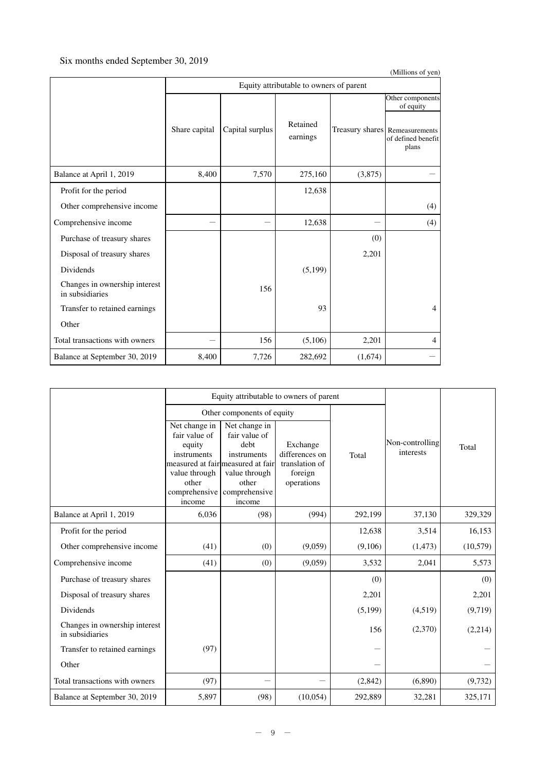# Six months ended September 30, 2019

| (Millions of yen)                                |               |                                         |                      |         |                                                               |  |  |  |  |
|--------------------------------------------------|---------------|-----------------------------------------|----------------------|---------|---------------------------------------------------------------|--|--|--|--|
|                                                  |               | Equity attributable to owners of parent |                      |         |                                                               |  |  |  |  |
|                                                  |               |                                         |                      |         | Other components<br>of equity                                 |  |  |  |  |
|                                                  | Share capital | Capital surplus                         | Retained<br>earnings |         | Treasury shares Remeasurements<br>of defined benefit<br>plans |  |  |  |  |
| Balance at April 1, 2019                         | 8,400         | 7,570                                   | 275,160              | (3,875) |                                                               |  |  |  |  |
| Profit for the period                            |               |                                         | 12,638               |         |                                                               |  |  |  |  |
| Other comprehensive income                       |               |                                         |                      |         | (4)                                                           |  |  |  |  |
| Comprehensive income                             |               |                                         | 12,638               |         | (4)                                                           |  |  |  |  |
| Purchase of treasury shares                      |               |                                         |                      | (0)     |                                                               |  |  |  |  |
| Disposal of treasury shares                      |               |                                         |                      | 2,201   |                                                               |  |  |  |  |
| Dividends                                        |               |                                         | (5,199)              |         |                                                               |  |  |  |  |
| Changes in ownership interest<br>in subsidiaries |               | 156                                     |                      |         |                                                               |  |  |  |  |
| Transfer to retained earnings                    |               |                                         | 93                   |         | 4                                                             |  |  |  |  |
| Other                                            |               |                                         |                      |         |                                                               |  |  |  |  |
| Total transactions with owners                   |               | 156                                     | (5,106)              | 2,201   | $\overline{4}$                                                |  |  |  |  |
| Balance at September 30, 2019                    | 8,400         | 7,726                                   | 282,692              | (1,674) |                                                               |  |  |  |  |

|                                                  |                                                                                                              | Equity attributable to owners of parent                                                                                                         |                                                                       |         |                              |           |
|--------------------------------------------------|--------------------------------------------------------------------------------------------------------------|-------------------------------------------------------------------------------------------------------------------------------------------------|-----------------------------------------------------------------------|---------|------------------------------|-----------|
|                                                  |                                                                                                              | Other components of equity                                                                                                                      |                                                                       |         |                              |           |
|                                                  | Net change in<br>fair value of<br>equity<br>instruments<br>value through<br>other<br>comprehensive<br>income | Net change in<br>fair value of<br>debt<br>instruments<br>measured at fair measured at fair<br>value through<br>other<br>comprehensive<br>income | Exchange<br>differences on<br>translation of<br>foreign<br>operations | Total   | Non-controlling<br>interests | Total     |
| Balance at April 1, 2019                         | 6,036                                                                                                        | (98)                                                                                                                                            | (994)                                                                 | 292,199 | 37,130                       | 329,329   |
| Profit for the period                            |                                                                                                              |                                                                                                                                                 |                                                                       | 12,638  | 3,514                        | 16,153    |
| Other comprehensive income                       | (41)                                                                                                         | (0)                                                                                                                                             | (9,059)                                                               | (9,106) | (1, 473)                     | (10, 579) |
| Comprehensive income                             | (41)                                                                                                         | (0)                                                                                                                                             | (9,059)                                                               | 3,532   | 2,041                        | 5,573     |
| Purchase of treasury shares                      |                                                                                                              |                                                                                                                                                 |                                                                       | (0)     |                              | (0)       |
| Disposal of treasury shares                      |                                                                                                              |                                                                                                                                                 |                                                                       | 2,201   |                              | 2,201     |
| Dividends                                        |                                                                                                              |                                                                                                                                                 |                                                                       | (5,199) | (4,519)                      | (9,719)   |
| Changes in ownership interest<br>in subsidiaries |                                                                                                              |                                                                                                                                                 |                                                                       | 156     | (2,370)                      | (2,214)   |
| Transfer to retained earnings                    | (97)                                                                                                         |                                                                                                                                                 |                                                                       |         |                              |           |
| Other                                            |                                                                                                              |                                                                                                                                                 |                                                                       |         |                              |           |
| Total transactions with owners                   | (97)                                                                                                         |                                                                                                                                                 |                                                                       | (2,842) | (6,890)                      | (9, 732)  |
| Balance at September 30, 2019                    | 5,897                                                                                                        | (98)                                                                                                                                            | (10,054)                                                              | 292,889 | 32,281                       | 325,171   |